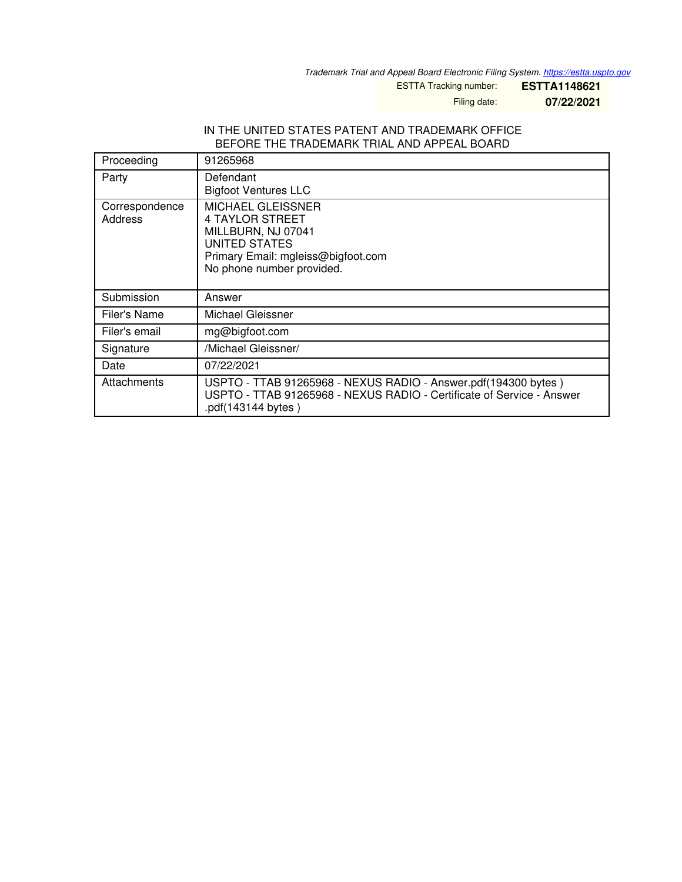*Trademark Trial and Appeal Board Electronic Filing System. <https://estta.uspto.gov>*

ESTTA Tracking number: **ESTTA1148621**

Filing date: **07/22/2021**

#### IN THE UNITED STATES PATENT AND TRADEMARK OFFICE BEFORE THE TRADEMARK TRIAL AND APPEAL BOARD

| Proceeding                | 91265968                                                                                                                                                      |
|---------------------------|---------------------------------------------------------------------------------------------------------------------------------------------------------------|
| Party                     | Defendant<br><b>Bigfoot Ventures LLC</b>                                                                                                                      |
| Correspondence<br>Address | <b>MICHAEL GLEISSNER</b><br><b>4 TAYLOR STREET</b><br>MILLBURN, NJ 07041<br>UNITED STATES<br>Primary Email: mgleiss@bigfoot.com<br>No phone number provided.  |
| Submission                | Answer                                                                                                                                                        |
| Filer's Name              | Michael Gleissner                                                                                                                                             |
| Filer's email             | mg@bigfoot.com                                                                                                                                                |
| Signature                 | /Michael Gleissner/                                                                                                                                           |
| Date                      | 07/22/2021                                                                                                                                                    |
| Attachments               | USPTO - TTAB 91265968 - NEXUS RADIO - Answer.pdf(194300 bytes)<br>USPTO - TTAB 91265968 - NEXUS RADIO - Certificate of Service - Answer<br>.pdf(143144 bytes) |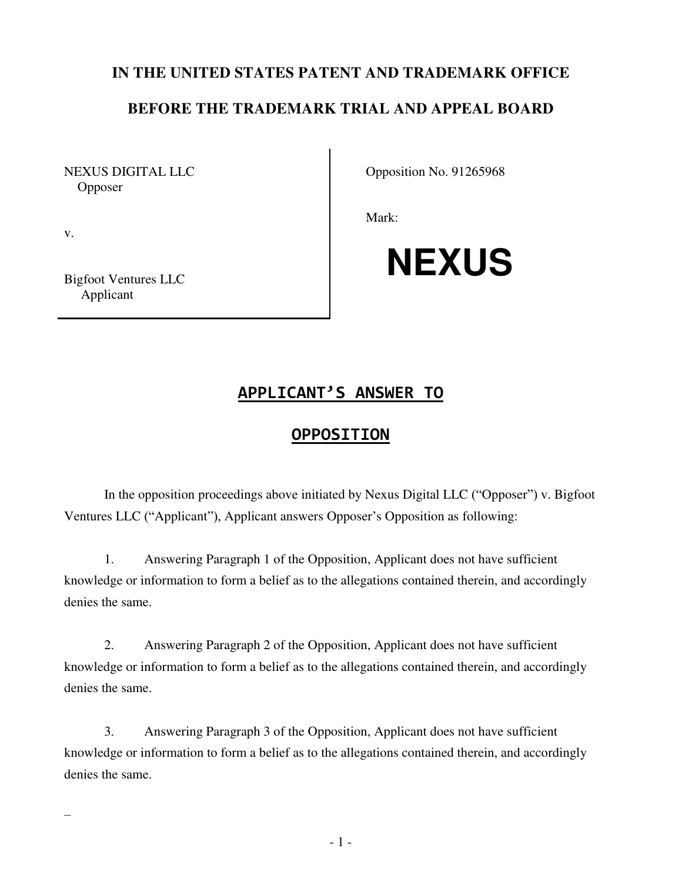### **IN THE UNITED STATES PATENT AND TRADEMARK OFFICE**

## **BEFORE THE TRADEMARK TRIAL AND APPEAL BOARD**

NEXUS DIGITAL LLC **Opposer** 

Opposition No. 91265968

Mark:

Bigfoot Ventures LLC Applicant

v.

–

# **NEXUS**

# **APPLICANT'S ANSWER TO**

#### **OPPOSITION**

In the opposition proceedings above initiated by Nexus Digital LLC ("Opposer") v. Bigfoot Ventures LLC ("Applicant"), Applicant answers Opposer's Opposition as following:

1. Answering Paragraph 1 of the Opposition, Applicant does not have sufficient knowledge or information to form a belief as to the allegations contained therein, and accordingly denies the same.

2. Answering Paragraph 2 of the Opposition, Applicant does not have sufficient knowledge or information to form a belief as to the allegations contained therein, and accordingly denies the same.

3. Answering Paragraph 3 of the Opposition, Applicant does not have sufficient knowledge or information to form a belief as to the allegations contained therein, and accordingly denies the same.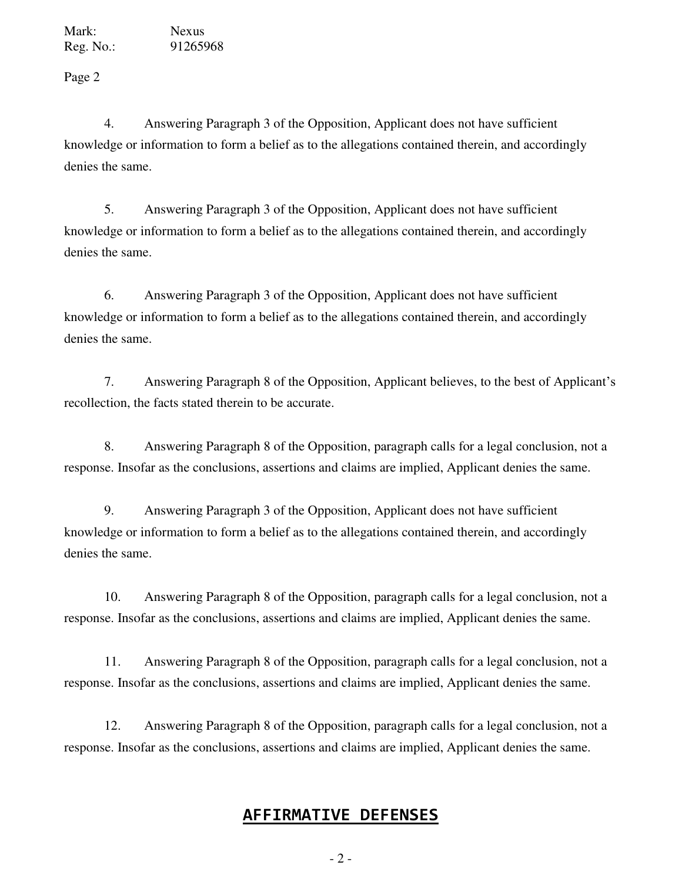Mark: Nexus Reg. No.: 91265968

Page 2

4. Answering Paragraph 3 of the Opposition, Applicant does not have sufficient knowledge or information to form a belief as to the allegations contained therein, and accordingly denies the same.

5. Answering Paragraph 3 of the Opposition, Applicant does not have sufficient knowledge or information to form a belief as to the allegations contained therein, and accordingly denies the same.

6. Answering Paragraph 3 of the Opposition, Applicant does not have sufficient knowledge or information to form a belief as to the allegations contained therein, and accordingly denies the same.

7. Answering Paragraph 8 of the Opposition, Applicant believes, to the best of Applicant's recollection, the facts stated therein to be accurate.

8. Answering Paragraph 8 of the Opposition, paragraph calls for a legal conclusion, not a response. Insofar as the conclusions, assertions and claims are implied, Applicant denies the same.

9. Answering Paragraph 3 of the Opposition, Applicant does not have sufficient knowledge or information to form a belief as to the allegations contained therein, and accordingly denies the same.

10. Answering Paragraph 8 of the Opposition, paragraph calls for a legal conclusion, not a response. Insofar as the conclusions, assertions and claims are implied, Applicant denies the same.

11. Answering Paragraph 8 of the Opposition, paragraph calls for a legal conclusion, not a response. Insofar as the conclusions, assertions and claims are implied, Applicant denies the same.

12. Answering Paragraph 8 of the Opposition, paragraph calls for a legal conclusion, not a response. Insofar as the conclusions, assertions and claims are implied, Applicant denies the same.

# **AFFIRMATIVE DEFENSES**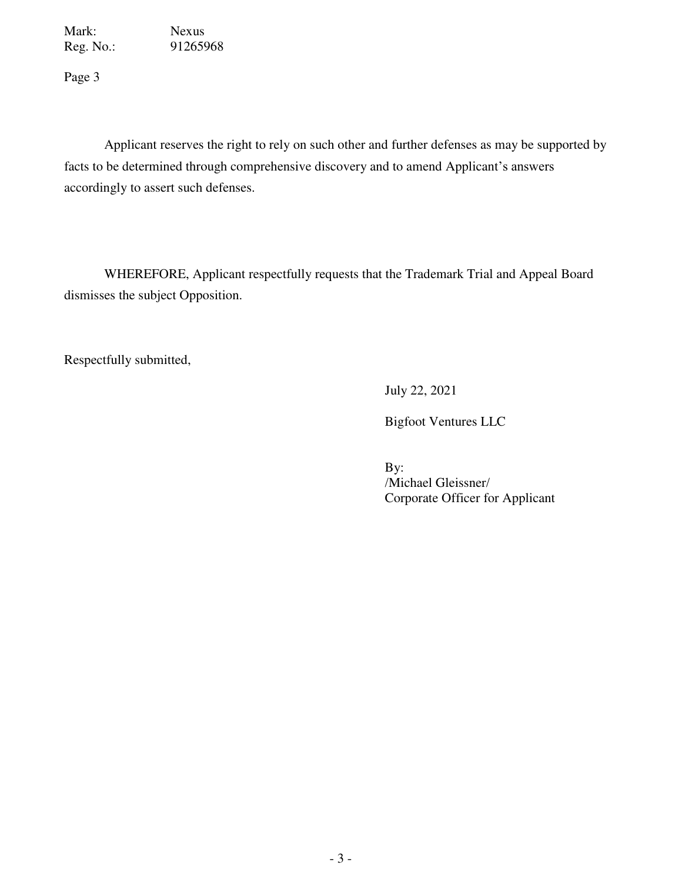Mark: Nexus Reg. No.: 91265968

Page 3

Applicant reserves the right to rely on such other and further defenses as may be supported by facts to be determined through comprehensive discovery and to amend Applicant's answers accordingly to assert such defenses.

WHEREFORE, Applicant respectfully requests that the Trademark Trial and Appeal Board dismisses the subject Opposition.

Respectfully submitted,

July 22, 2021

Bigfoot Ventures LLC

 By: /Michael Gleissner/ Corporate Officer for Applicant